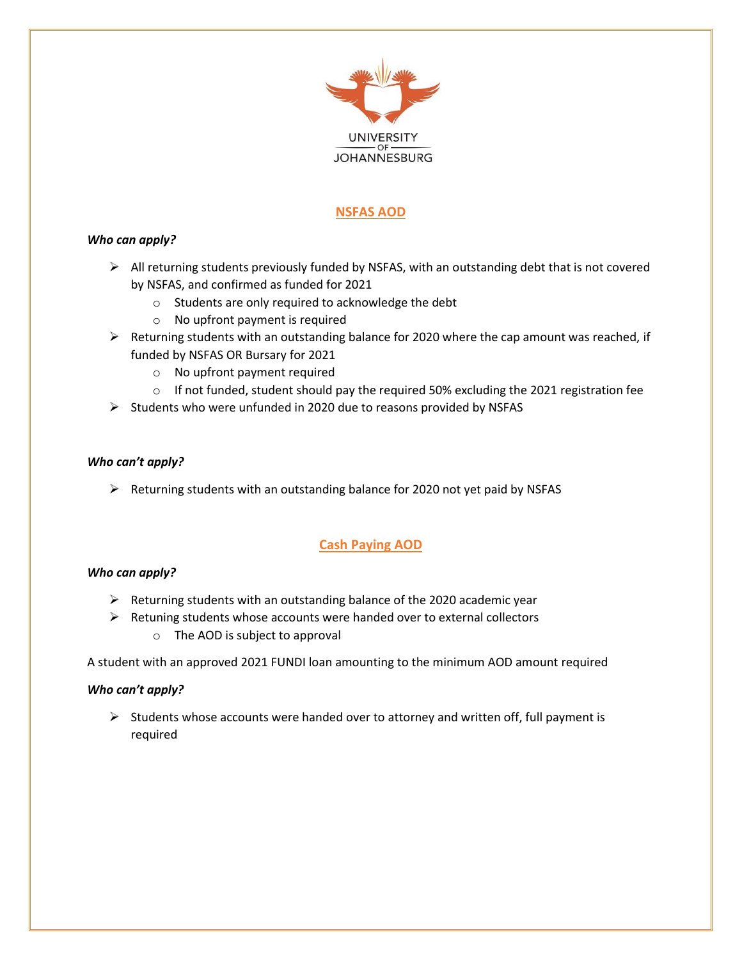

# **NSFAS AOD**

## *Who can apply?*

- $\triangleright$  All returning students previously funded by NSFAS, with an outstanding debt that is not covered by NSFAS, and confirmed as funded for 2021
	- o Students are only required to acknowledge the debt
	- o No upfront payment is required
- $\triangleright$  Returning students with an outstanding balance for 2020 where the cap amount was reached, if funded by NSFAS OR Bursary for 2021
	- o No upfront payment required
	- $\circ$  If not funded, student should pay the required 50% excluding the 2021 registration fee
- $\triangleright$  Students who were unfunded in 2020 due to reasons provided by NSFAS

## *Who can't apply?*

 $\triangleright$  Returning students with an outstanding balance for 2020 not yet paid by NSFAS

# **Cash Paying AOD**

### *Who can apply?*

- $\triangleright$  Returning students with an outstanding balance of the 2020 academic year
- $\triangleright$  Retuning students whose accounts were handed over to external collectors
	- o The AOD is subject to approval

A student with an approved 2021 FUNDI loan amounting to the minimum AOD amount required

### *Who can't apply?*

 $\triangleright$  Students whose accounts were handed over to attorney and written off, full payment is required